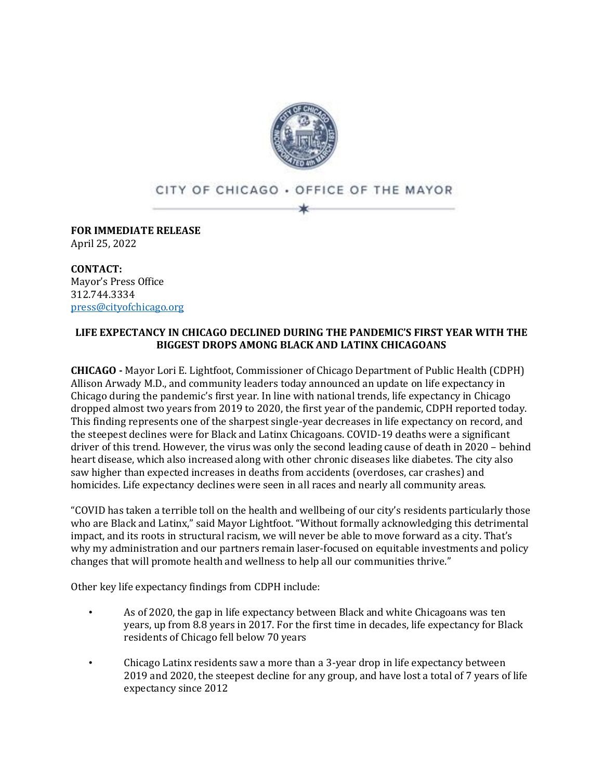

## CITY OF CHICAGO . OFFICE OF THE MAYOR

**FOR IMMEDIATE RELEASE** April 25, 2022

**CONTACT:** Mayor's Press Office 312.744.3334 [press@cityofchicago.org](mailto:press@cityofchicago.org)

## **LIFE EXPECTANCY IN CHICAGO DECLINED DURING THE PANDEMIC'S FIRST YEAR WITH THE BIGGEST DROPS AMONG BLACK AND LATINX CHICAGOANS**

**CHICAGO -** Mayor Lori E. Lightfoot, Commissioner of Chicago Department of Public Health (CDPH) Allison Arwady M.D., and community leaders today announced an update on life expectancy in Chicago during the pandemic's first year. In line with national trends, life expectancy in Chicago dropped almost two years from 2019 to 2020, the first year of the pandemic, CDPH reported today. This finding represents one of the sharpest single-year decreases in life expectancy on record, and the steepest declines were for Black and Latinx Chicagoans. COVID-19 deaths were a significant driver of this trend. However, the virus was only the second leading cause of death in 2020 – behind heart disease, which also increased along with other chronic diseases like diabetes. The city also saw higher than expected increases in deaths from accidents (overdoses, car crashes) and homicides. Life expectancy declines were seen in all races and nearly all community areas.

"COVID has taken a terrible toll on the health and wellbeing of our city's residents particularly those who are Black and Latinx," said Mayor Lightfoot. "Without formally acknowledging this detrimental impact, and its roots in structural racism, we will never be able to move forward as a city. That's why my administration and our partners remain laser-focused on equitable investments and policy changes that will promote health and wellness to help all our communities thrive."

Other key life expectancy findings from CDPH include:

- As of 2020, the gap in life expectancy between Black and white Chicagoans was ten years, up from 8.8 years in 2017. For the first time in decades, life expectancy for Black residents of Chicago fell below 70 years
- Chicago Latinx residents saw a more than a 3-year drop in life expectancy between 2019 and 2020, the steepest decline for any group, and have lost a total of 7 years of life expectancy since 2012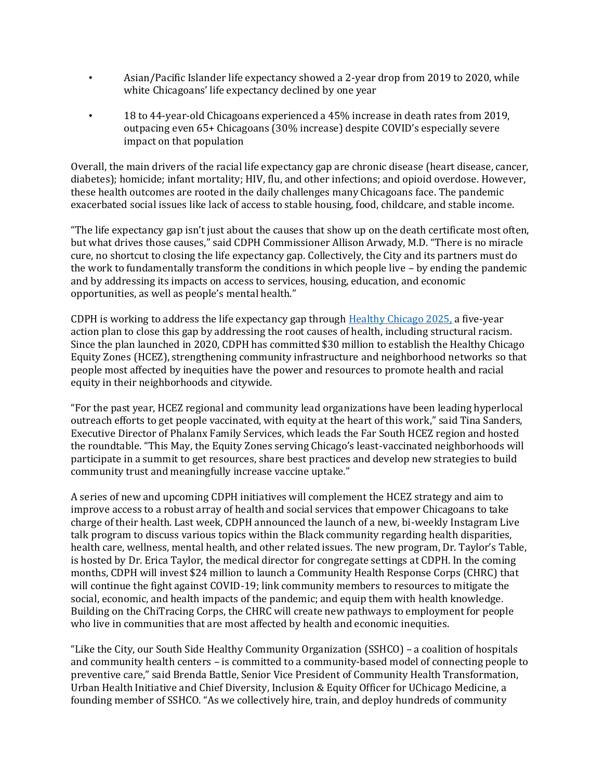- Asian/Pacific Islander life expectancy showed a 2-year drop from 2019 to 2020, while white Chicagoans' life expectancy declined by one year
- 18 to 44-year-old Chicagoans experienced a 45% increase in death rates from 2019, outpacing even 65+ Chicagoans (30% increase) despite COVID's especially severe impact on that population

Overall, the main drivers of the racial life expectancy gap are chronic disease (heart disease, cancer, diabetes); homicide; infant mortality; HIV, flu, and other infections; and opioid overdose. However, these health outcomes are rooted in the daily challenges many Chicagoans face. The pandemic exacerbated social issues like lack of access to stable housing, food, childcare, and stable income.

"The life expectancy gap isn't just about the causes that show up on the death certificate most often, but what drives those causes," said CDPH Commissioner Allison Arwady, M.D. "There is no miracle cure, no shortcut to closing the life expectancy gap. Collectively, the City and its partners must do the work to fundamentally transform the conditions in which people live – by ending the pandemic and by addressing its impacts on access to services, housing, education, and economic opportunities, as well as people's mental health."

CDPH is working to address the life expectancy gap through [Healthy Chicago 2025,](https://www.chicago.gov/city/en/depts/cdph/provdrs/healthy_communities/svcs/healthy-chicago-2025.html) a five-year action plan to close this gap by addressing the root causes of health, including structural racism. Since the plan launched in 2020, CDPH has committed \$30 million to establish the Healthy Chicago Equity Zones (HCEZ), strengthening community infrastructure and neighborhood networks so that people most affected by inequities have the power and resources to promote health and racial equity in their neighborhoods and citywide.

"For the past year, HCEZ regional and community lead organizations have been leading hyperlocal outreach efforts to get people vaccinated, with equity at the heart of this work," said Tina Sanders, Executive Director of Phalanx Family Services, which leads the Far South HCEZ region and hosted the roundtable. "This May, the Equity Zones serving Chicago's least-vaccinated neighborhoods will participate in a summit to get resources, share best practices and develop new strategies to build community trust and meaningfully increase vaccine uptake."

A series of new and upcoming CDPH initiatives will complement the HCEZ strategy and aim to improve access to a robust array of health and social services that empower Chicagoans to take charge of their health. Last week, CDPH announced the launch of a new, bi-weekly Instagram Live talk program to discuss various topics within the Black community regarding health disparities, health care, wellness, mental health, and other related issues. The new program, Dr. Taylor's Table, is hosted by Dr. Erica Taylor, the medical director for congregate settings at CDPH. In the coming months, CDPH will invest \$24 million to launch a Community Health Response Corps (CHRC) that will continue the fight against COVID-19; link community members to resources to mitigate the social, economic, and health impacts of the pandemic; and equip them with health knowledge. Building on the ChiTracing Corps, the CHRC will create new pathways to employment for people who live in communities that are most affected by health and economic inequities.

"Like the City, our South Side Healthy Community Organization (SSHCO) – a coalition of hospitals and community health centers – is committed to a community-based model of connecting people to preventive care," said Brenda Battle, Senior Vice President of Community Health Transformation, Urban Health Initiative and Chief Diversity, Inclusion & Equity Officer for UChicago Medicine, a founding member of SSHCO. "As we collectively hire, train, and deploy hundreds of community